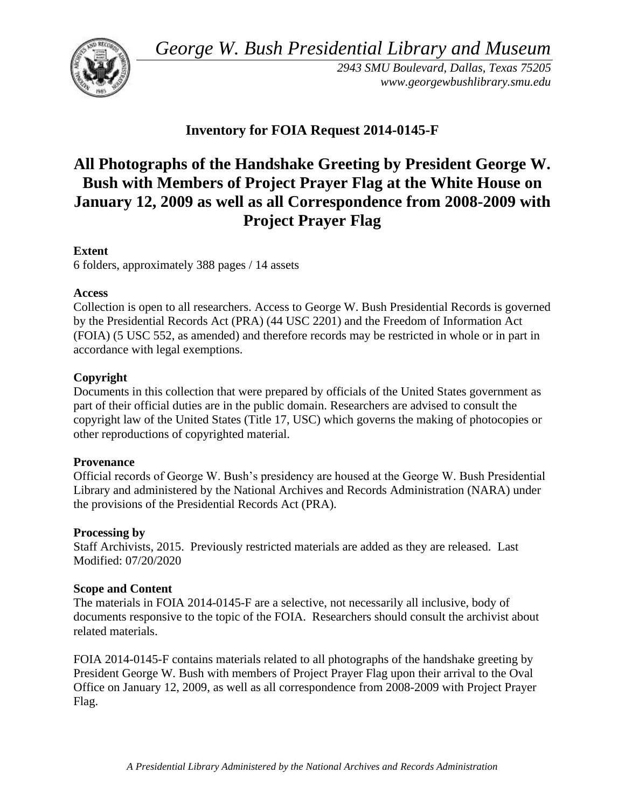*George W. Bush Presidential Library and Museum* 



*2943 SMU Boulevard, Dallas, Texas 75205 <www.georgewbushlibrary.smu.edu>*

## **Inventory for FOIA Request 2014-0145-F**

# **All Photographs of the Handshake Greeting by President George W. Bush with Members of Project Prayer Flag at the White House on January 12, 2009 as well as all Correspondence from 2008-2009 with Project Prayer Flag**

## **Extent**

6 folders, approximately 388 pages / 14 assets

## **Access**

Collection is open to all researchers. Access to George W. Bush Presidential Records is governed by the Presidential Records Act (PRA) (44 USC 2201) and the Freedom of Information Act (FOIA) (5 USC 552, as amended) and therefore records may be restricted in whole or in part in accordance with legal exemptions.

## **Copyright**

Documents in this collection that were prepared by officials of the United States government as part of their official duties are in the public domain. Researchers are advised to consult the copyright law of the United States (Title 17, USC) which governs the making of photocopies or other reproductions of copyrighted material.

## **Provenance**

 Official records of George W. Bush's presidency are housed at the George W. Bush Presidential Library and administered by the National Archives and Records Administration (NARA) under the provisions of the Presidential Records Act (PRA).

## **Processing by**

Staff Archivists, 2015. Previously restricted materials are added as they are released. Last Modified: 07/20/2020

## **Scope and Content**

The materials in FOIA 2014-0145-F are a selective, not necessarily all inclusive, body of documents responsive to the topic of the FOIA. Researchers should consult the archivist about related materials.

FOIA 2014-0145-F contains materials related to all photographs of the handshake greeting by President George W. Bush with members of Project Prayer Flag upon their arrival to the Oval Office on January 12, 2009, as well as all correspondence from 2008-2009 with Project Prayer Flag.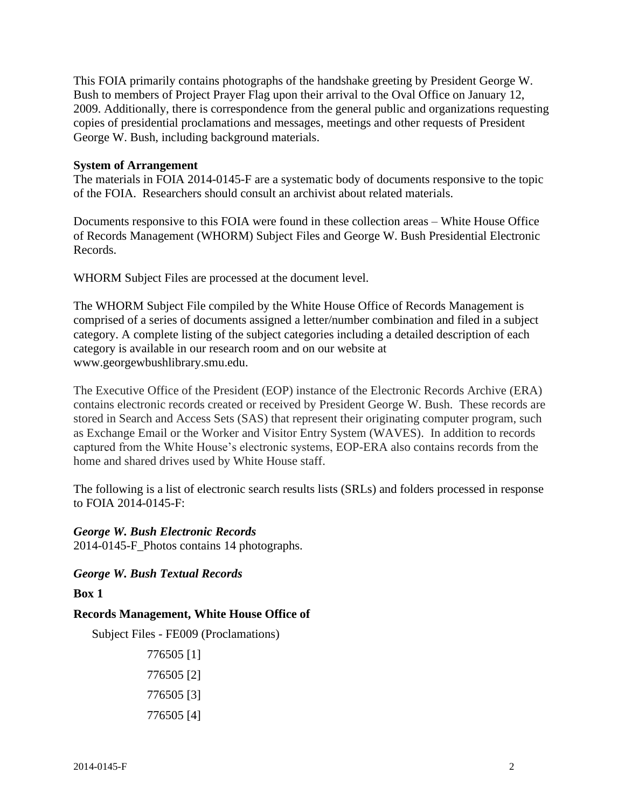This FOIA primarily contains photographs of the handshake greeting by President George W. Bush to members of Project Prayer Flag upon their arrival to the Oval Office on January 12, 2009. Additionally, there is correspondence from the general public and organizations requesting copies of presidential proclamations and messages, meetings and other requests of President George W. Bush, including background materials.

#### **System of Arrangement**

The materials in FOIA 2014-0145-F are a systematic body of documents responsive to the topic of the FOIA. Researchers should consult an archivist about related materials.

Documents responsive to this FOIA were found in these collection areas – White House Office of Records Management (WHORM) Subject Files and George W. Bush Presidential Electronic Records.

WHORM Subject Files are processed at the document level.

The WHORM Subject File compiled by the White House Office of Records Management is comprised of a series of documents assigned a letter/number combination and filed in a subject category. A complete listing of the subject categories including a detailed description of each category is available in our research room and on our website at <www.georgewbushlibrary.smu.edu>.

The Executive Office of the President (EOP) instance of the Electronic Records Archive (ERA) contains electronic records created or received by President George W. Bush. These records are stored in Search and Access Sets (SAS) that represent their originating computer program, such as Exchange Email or the Worker and Visitor Entry System (WAVES). In addition to records captured from the White House's electronic systems, EOP-ERA also contains records from the home and shared drives used by White House staff.

The following is a list of electronic search results lists (SRLs) and folders processed in response to FOIA 2014-0145-F:

#### *George W. Bush Electronic Records*

2014-0145-F\_Photos contains 14 photographs.

#### *George W. Bush Textual Records*

#### **Box 1**

#### **Records Management, White House Office of**

```
Subject Files - FE009 (Proclamations)
```
776505 [1] 776505 [2] 776505 [3] 776505 [4]